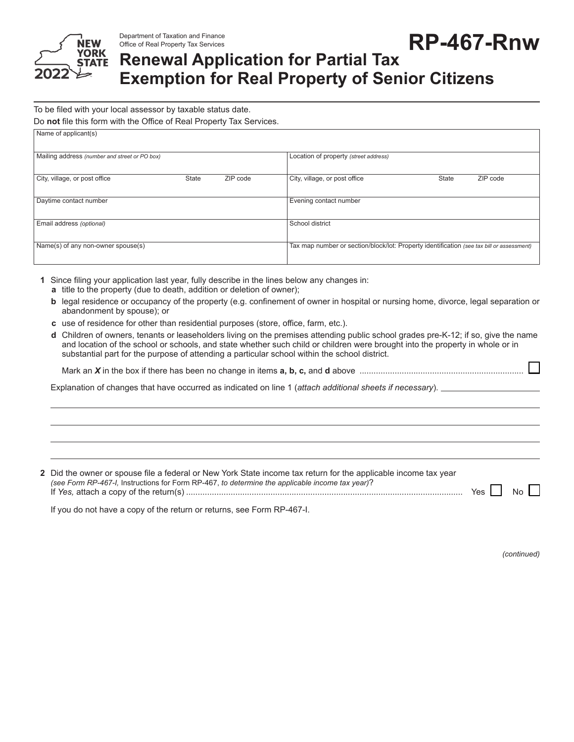

Office of Real Property Tax Services

Department of Taxation and Finance<br>Office of Real Property Tax Services **RP-467-RNW** 

## **Renewal Application for Partial Tax Exemption for Real Property of Senior Citizens**

To be filed with your local assessor by taxable status date.

Do **not** file this form with the Office of Real Property Tax Services.

| Name of applicant(s)                          |              |          |                                                                                           |              |          |
|-----------------------------------------------|--------------|----------|-------------------------------------------------------------------------------------------|--------------|----------|
| Mailing address (number and street or PO box) |              |          | Location of property (street address)                                                     |              |          |
| City, village, or post office                 | <b>State</b> | ZIP code | City, village, or post office                                                             | <b>State</b> | ZIP code |
| Daytime contact number                        |              |          | Evening contact number                                                                    |              |          |
| Email address (optional)                      |              |          | School district                                                                           |              |          |
| Name(s) of any non-owner spouse(s)            |              |          | Tax map number or section/block/lot: Property identification (see tax bill or assessment) |              |          |

- **1** Since filing your application last year, fully describe in the lines below any changes in: **a** title to the property (due to death, addition or deletion of owner);
	- **b** legal residence or occupancy of the property (e.g. confinement of owner in hospital or nursing home, divorce, legal separation or abandonment by spouse); or
	- **c** use of residence for other than residential purposes (store, office, farm, etc.).
	- **d** Children of owners, tenants or leaseholders living on the premises attending public school grades pre-K-12; if so, give the name and location of the school or schools, and state whether such child or children were brought into the property in whole or in substantial part for the purpose of attending a particular school within the school district.

Mark an *X* in the box if there has been no change in items **a, b, c,** and **d** above ......................................................................

Explanation of changes that have occurred as indicated on line 1 (*attach additional sheets if necessary*).

| 2 Did the owner or spouse file a federal or New York State income tax return for the applicable income tax year<br>(see Form RP-467-I, Instructions for Form RP-467, to determine the applicable income tax year)? | Yes     No |  |
|--------------------------------------------------------------------------------------------------------------------------------------------------------------------------------------------------------------------|------------|--|
| If you do not have a copy of the return or returns, see Form RP-467-I.                                                                                                                                             |            |  |

*(continued)*